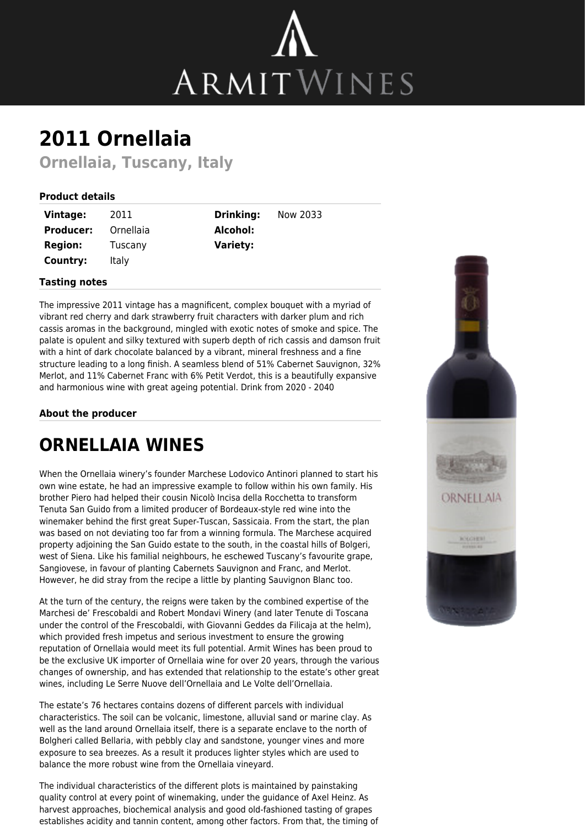

# **2011 Ornellaia**

**Ornellaia, Tuscany, Italy**

### **Product details**

| <b>Vintage:</b>  | 2011      |
|------------------|-----------|
| <b>Producer:</b> | Ornellaia |
| <b>Region:</b>   | Tuscany   |
| Country:         | Italy     |

**Drinking:** Now 2033 **Alcohol: Variety:**

#### **Tasting notes**

The impressive 2011 vintage has a magnificent, complex bouquet with a myriad of vibrant red cherry and dark strawberry fruit characters with darker plum and rich cassis aromas in the background, mingled with exotic notes of smoke and spice. The palate is opulent and silky textured with superb depth of rich cassis and damson fruit with a hint of dark chocolate balanced by a vibrant, mineral freshness and a fine structure leading to a long finish. A seamless blend of 51% Cabernet Sauvignon, 32% Merlot, and 11% Cabernet Franc with 6% Petit Verdot, this is a beautifully expansive and harmonious wine with great ageing potential. Drink from 2020 - 2040

#### **About the producer**

## **ORNELLAIA WINES**

When the Ornellaia winery's founder Marchese Lodovico Antinori planned to start his own wine estate, he had an impressive example to follow within his own family. His brother Piero had helped their cousin Nicolò Incisa della Rocchetta to transform Tenuta San Guido from a limited producer of Bordeaux-style red wine into the winemaker behind the first great Super-Tuscan, Sassicaia. From the start, the plan was based on not deviating too far from a winning formula. The Marchese acquired property adjoining the San Guido estate to the south, in the coastal hills of Bolgeri, west of Siena. Like his familial neighbours, he eschewed Tuscany's favourite grape, Sangiovese, in favour of planting Cabernets Sauvignon and Franc, and Merlot. However, he did stray from the recipe a little by planting Sauvignon Blanc too.

At the turn of the century, the reigns were taken by the combined expertise of the Marchesi de' Frescobaldi and Robert Mondavi Winery (and later Tenute di Toscana under the control of the Frescobaldi, with Giovanni Geddes da Filicaja at the helm), which provided fresh impetus and serious investment to ensure the growing reputation of Ornellaia would meet its full potential. Armit Wines has been proud to be the exclusive UK importer of Ornellaia wine for over 20 years, through the various changes of ownership, and has extended that relationship to the estate's other great wines, including Le Serre Nuove dell'Ornellaia and Le Volte dell'Ornellaia.

The estate's 76 hectares contains dozens of different parcels with individual characteristics. The soil can be volcanic, limestone, alluvial sand or marine clay. As well as the land around Ornellaia itself, there is a separate enclave to the north of Bolgheri called Bellaria, with pebbly clay and sandstone, younger vines and more exposure to sea breezes. As a result it produces lighter styles which are used to balance the more robust wine from the Ornellaia vineyard.

The individual characteristics of the different plots is maintained by painstaking quality control at every point of winemaking, under the guidance of Axel Heinz. As harvest approaches, biochemical analysis and good old-fashioned tasting of grapes establishes acidity and tannin content, among other factors. From that, the timing of